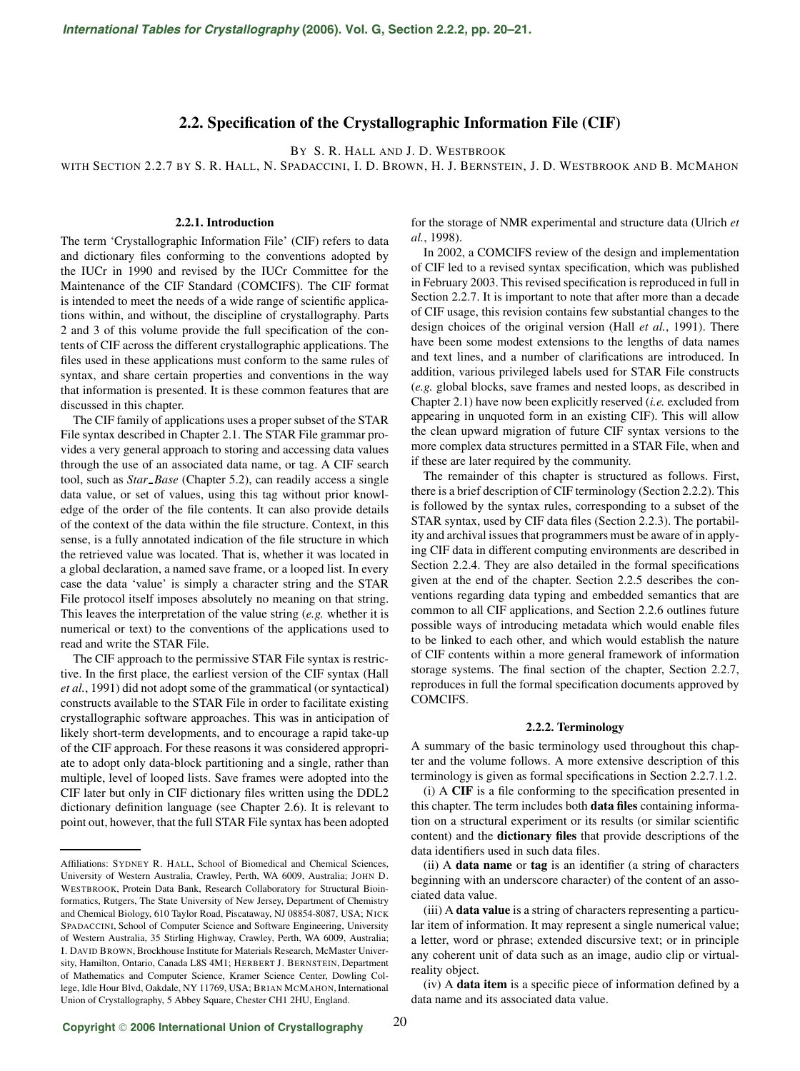# **2.2. Specification of the Crystallographic Information File (CIF)**

BY S. R. HALL AND J. D. WESTBROOK

WITH SECTION 2.2.7 BY S. R. HALL, N. SPADACCINI, I. D. BROWN, H. J. BERNSTEIN, J. D. WESTBROOK AND B. MCMAHON

## **2.2.1. Introduction**

The term 'Crystallographic Information File' (CIF) refers to data and dictionary files conforming to the conventions adopted by the IUCr in 1990 and revised by the IUCr Committee for the Maintenance of the CIF Standard (COMCIFS). The CIF format is intended to meet the needs of a wide range of scientific applications within, and without, the discipline of crystallography. Parts 2 and 3 of this volume provide the full specification of the contents of CIF across the different crystallographic applications. The files used in these applications must conform to the same rules of syntax, and share certain properties and conventions in the way that information is presented. It is these common features that are discussed in this chapter.

The CIF family of applications uses a proper subset of the STAR File syntax described in Chapter 2.1. The STAR File grammar provides a very general approach to storing and accessing data values through the use of an associated data name, or tag. A CIF search tool, such as *Star Base* (Chapter 5.2), can readily access a single data value, or set of values, using this tag without prior knowledge of the order of the file contents. It can also provide details of the context of the data within the file structure. Context, in this sense, is a fully annotated indication of the file structure in which the retrieved value was located. That is, whether it was located in a global declaration, a named save frame, or a looped list. In every case the data 'value' is simply a character string and the STAR File protocol itself imposes absolutely no meaning on that string. This leaves the interpretation of the value string (*e.g.* whether it is numerical or text) to the conventions of the applications used to read and write the STAR File.

The CIF approach to the permissive STAR File syntax is restrictive. In the first place, the earliest version of the CIF syntax (Hall *et al.*, 1991) did not adopt some of the grammatical (or syntactical) constructs available to the STAR File in order to facilitate existing crystallographic software approaches. This was in anticipation of likely short-term developments, and to encourage a rapid take-up of the CIF approach. For these reasons it was considered appropriate to adopt only data-block partitioning and a single, rather than multiple, level of looped lists. Save frames were adopted into the CIF later but only in CIF dictionary files written using the DDL2 dictionary definition language (see Chapter 2.6). It is relevant to point out, however, that the full STAR File syntax has been adopted

for the storage of NMR experimental and structure data (Ulrich *et al.*, 1998).

In 2002, a COMCIFS review of the design and implementation of CIF led to a revised syntax specification, which was published in February 2003. This revised specification is reproduced in full in Section 2.2.7. It is important to note that after more than a decade of CIF usage, this revision contains few substantial changes to the design choices of the original version (Hall *et al.*, 1991). There have been some modest extensions to the lengths of data names and text lines, and a number of clarifications are introduced. In addition, various privileged labels used for STAR File constructs (*e.g.* global blocks, save frames and nested loops, as described in Chapter 2.1) have now been explicitly reserved (*i.e.* excluded from appearing in unquoted form in an existing CIF). This will allow the clean upward migration of future CIF syntax versions to the more complex data structures permitted in a STAR File, when and if these are later required by the community.

The remainder of this chapter is structured as follows. First, there is a brief description of CIF terminology (Section 2.2.2). This is followed by the syntax rules, corresponding to a subset of the STAR syntax, used by CIF data files (Section 2.2.3). The portability and archival issues that programmers must be aware of in applying CIF data in different computing environments are described in Section 2.2.4. They are also detailed in the formal specifications given at the end of the chapter. Section 2.2.5 describes the conventions regarding data typing and embedded semantics that are common to all CIF applications, and Section 2.2.6 outlines future possible ways of introducing metadata which would enable files to be linked to each other, and which would establish the nature of CIF contents within a more general framework of information storage systems. The final section of the chapter, Section 2.2.7, reproduces in full the formal specification documents approved by COMCIFS.

### **2.2.2. Terminology**

A summary of the basic terminology used throughout this chapter and the volume follows. A more extensive description of this terminology is given as formal specifications in Section 2.2.7.1.2.

(i) A **CIF** is a file conforming to the specification presented in this chapter. The term includes both **data files** containing information on a structural experiment or its results (or similar scientific content) and the **dictionary files** that provide descriptions of the data identifiers used in such data files.

(ii) A **data name** or **tag** is an identifier (a string of characters beginning with an underscore character) of the content of an associated data value.

Affiliations: SYDNEY R. HALL, School of Biomedical and Chemical Sciences, University of Western Australia, Crawley, Perth, WA 6009, Australia; JOHN D. WESTBROOK, Protein Data Bank, Research Collaboratory for Structural Bioinformatics, Rutgers, The State University of New Jersey, Department of Chemistry and Chemical Biology, 610 Taylor Road, Piscataway, NJ 08854-8087, USA; NICK SPADACCINI, School of Computer Science and Software Engineering, University of Western Australia, 35 Stirling Highway, Crawley, Perth, WA 6009, Australia; I. DAVID BROWN, Brockhouse Institute for Materials Research, McMaster University, Hamilton, Ontario, Canada L8S 4M1; HERBERT J. BERNSTEIN, Department of Mathematics and Computer Science, Kramer Science Center, Dowling College, Idle Hour Blvd, Oakdale, NY 11769, USA; BRIAN MCMAHON, International Union of Crystallography, 5 Abbey Square, Chester CH1 2HU, England.

<sup>(</sup>iii) A **data value** is a string of characters representing a particular item of information. It may represent a single numerical value; a letter, word or phrase; extended discursive text; or in principle any coherent unit of data such as an image, audio clip or virtualreality object.

<sup>(</sup>iv) A **data item** is a specific piece of information defined by a data name and its associated data value.